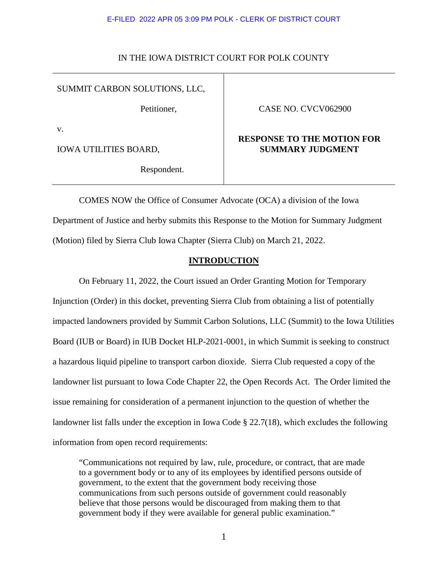## IN THE IOWA DISTRICT COURT FOR POLK COUNTY

# SUMMIT CARBON SOLUTIONS, LLC,

Petitioner,

v.

IOWA UTILITIES BOARD,

Respondent.

# CASE NO. CVCV062900

# **RESPONSE TO THE MOTION FOR SUMMARY JUDGMENT**

COMES NOW the Office of Consumer Advocate (OCA) a division of the Iowa Department of Justice and herby submits this Response to the Motion for Summary Judgment (Motion) filed by Sierra Club Iowa Chapter (Sierra Club) on March 21, 2022.

# **INTRODUCTION**

On February 11, 2022, the Court issued an Order Granting Motion for Temporary Injunction (Order) in this docket, preventing Sierra Club from obtaining a list of potentially impacted landowners provided by Summit Carbon Solutions, LLC (Summit) to the Iowa Utilities Board (IUB or Board) in IUB Docket HLP-2021-0001, in which Summit is seeking to construct a hazardous liquid pipeline to transport carbon dioxide. Sierra Club requested a copy of the landowner list pursuant to Iowa Code Chapter 22, the Open Records Act. The Order limited the issue remaining for consideration of a permanent injunction to the question of whether the landowner list falls under the exception in Iowa Code § 22.7(18), which excludes the following information from open record requirements:

"Communications not required by law, rule, procedure, or contract, that are made to a government body or to any of its employees by identified persons outside of government, to the extent that the government body receiving those communications from such persons outside of government could reasonably believe that those persons would be discouraged from making them to that government body if they were available for general public examination."

1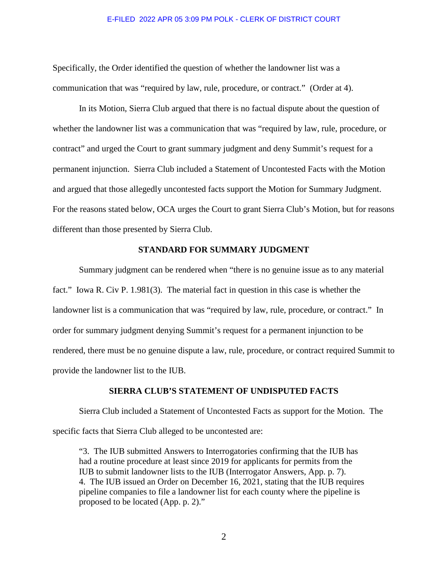Specifically, the Order identified the question of whether the landowner list was a communication that was "required by law, rule, procedure, or contract." (Order at 4).

In its Motion, Sierra Club argued that there is no factual dispute about the question of whether the landowner list was a communication that was "required by law, rule, procedure, or contract" and urged the Court to grant summary judgment and deny Summit's request for a permanent injunction. Sierra Club included a Statement of Uncontested Facts with the Motion and argued that those allegedly uncontested facts support the Motion for Summary Judgment. For the reasons stated below, OCA urges the Court to grant Sierra Club's Motion, but for reasons different than those presented by Sierra Club.

## **STANDARD FOR SUMMARY JUDGMENT**

Summary judgment can be rendered when "there is no genuine issue as to any material fact." Iowa R. Civ P. 1.981(3). The material fact in question in this case is whether the landowner list is a communication that was "required by law, rule, procedure, or contract." In order for summary judgment denying Summit's request for a permanent injunction to be rendered, there must be no genuine dispute a law, rule, procedure, or contract required Summit to provide the landowner list to the IUB.

## **SIERRA CLUB'S STATEMENT OF UNDISPUTED FACTS**

Sierra Club included a Statement of Uncontested Facts as support for the Motion. The specific facts that Sierra Club alleged to be uncontested are:

"3. The IUB submitted Answers to Interrogatories confirming that the IUB has had a routine procedure at least since 2019 for applicants for permits from the IUB to submit landowner lists to the IUB (Interrogator Answers, App. p. 7). 4. The IUB issued an Order on December 16, 2021, stating that the IUB requires pipeline companies to file a landowner list for each county where the pipeline is proposed to be located (App. p. 2)."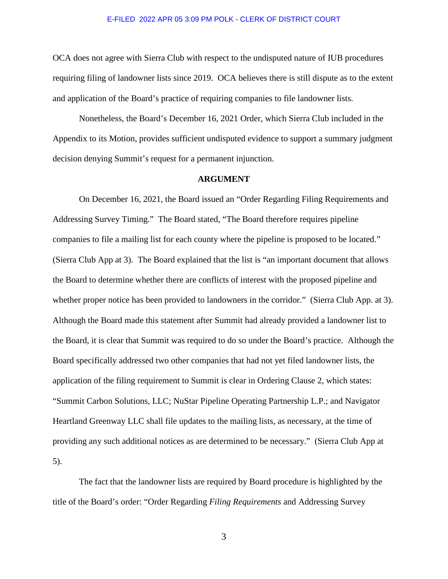OCA does not agree with Sierra Club with respect to the undisputed nature of IUB procedures requiring filing of landowner lists since 2019. OCA believes there is still dispute as to the extent and application of the Board's practice of requiring companies to file landowner lists.

Nonetheless, the Board's December 16, 2021 Order, which Sierra Club included in the Appendix to its Motion, provides sufficient undisputed evidence to support a summary judgment decision denying Summit's request for a permanent injunction.

### **ARGUMENT**

On December 16, 2021, the Board issued an "Order Regarding Filing Requirements and Addressing Survey Timing." The Board stated, "The Board therefore requires pipeline companies to file a mailing list for each county where the pipeline is proposed to be located." (Sierra Club App at 3). The Board explained that the list is "an important document that allows the Board to determine whether there are conflicts of interest with the proposed pipeline and whether proper notice has been provided to landowners in the corridor." (Sierra Club App. at 3). Although the Board made this statement after Summit had already provided a landowner list to the Board, it is clear that Summit was required to do so under the Board's practice. Although the Board specifically addressed two other companies that had not yet filed landowner lists, the application of the filing requirement to Summit is clear in Ordering Clause 2, which states: "Summit Carbon Solutions, LLC; NuStar Pipeline Operating Partnership L.P.; and Navigator Heartland Greenway LLC shall file updates to the mailing lists, as necessary, at the time of providing any such additional notices as are determined to be necessary." (Sierra Club App at 5).

The fact that the landowner lists are required by Board procedure is highlighted by the title of the Board's order: "Order Regarding *Filing Requirements* and Addressing Survey

3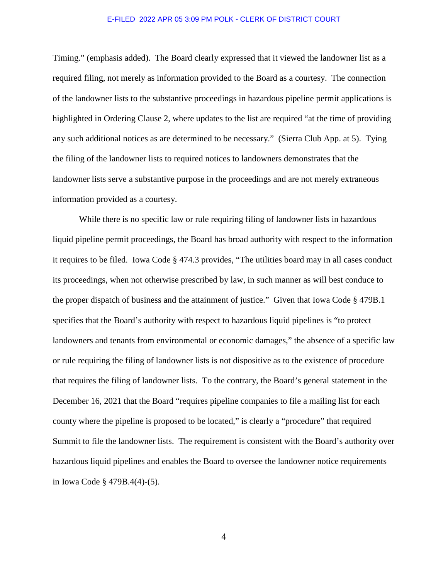Timing." (emphasis added). The Board clearly expressed that it viewed the landowner list as a required filing, not merely as information provided to the Board as a courtesy. The connection of the landowner lists to the substantive proceedings in hazardous pipeline permit applications is highlighted in Ordering Clause 2, where updates to the list are required "at the time of providing any such additional notices as are determined to be necessary." (Sierra Club App. at 5). Tying the filing of the landowner lists to required notices to landowners demonstrates that the landowner lists serve a substantive purpose in the proceedings and are not merely extraneous information provided as a courtesy.

While there is no specific law or rule requiring filing of landowner lists in hazardous liquid pipeline permit proceedings, the Board has broad authority with respect to the information it requires to be filed. Iowa Code § 474.3 provides, "The utilities board may in all cases conduct its proceedings, when not otherwise prescribed by law, in such manner as will best conduce to the proper dispatch of business and the attainment of justice." Given that Iowa Code § 479B.1 specifies that the Board's authority with respect to hazardous liquid pipelines is "to protect landowners and tenants from environmental or economic damages," the absence of a specific law or rule requiring the filing of landowner lists is not dispositive as to the existence of procedure that requires the filing of landowner lists. To the contrary, the Board's general statement in the December 16, 2021 that the Board "requires pipeline companies to file a mailing list for each county where the pipeline is proposed to be located," is clearly a "procedure" that required Summit to file the landowner lists. The requirement is consistent with the Board's authority over hazardous liquid pipelines and enables the Board to oversee the landowner notice requirements in Iowa Code § 479B.4(4)-(5).

4